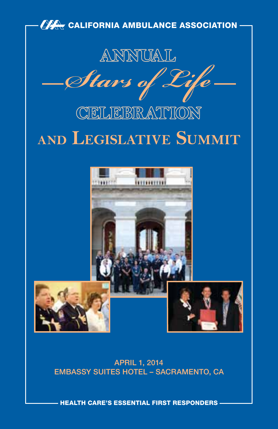

APRIL 1, 2014 EMBASSY SUITES HOTEL – SACRAMENTO, CA

HEALTH CARE'S ESSENTIAL FIRST RESPONDERS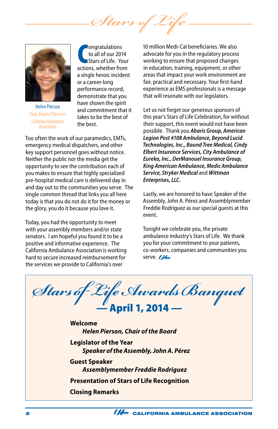*Stars of* 



Helen Pierson Chair, Board of Directors California Ambulance **Accoriation** 

**COMPONTIFY COMPONENT CONTRACTE:**<br>
Stars of Life. Your<br>
actions, whether from ongratulations to all of our 2014 Stars of Life. Your a single heroic incident or a career-long performance record, demonstrate that you have shown the spirit and commitment that it takes to be the best of the best.

Too often the work of our paramedics, EMTs, emergency medical dispatchers, and other key support personnel goes without notice. Neither the public nor the media get the opportunity to see the contribution each of you makes to ensure that highly specialized pre-hospital medical care is delivered day in and day out to the communities you serve. The single common thread that links you all here today is that you do not do it for the money or the glory, you do it because you love it.

Today, you had the opportunity to meet with your assembly members and/or state senators. I am hopeful you found it to be a positive and informative experience. The California Ambulance Association is working hard to secure increased reimbursement for the services we provide to California's over

10 million Medi-Cal beneficiaries. We also advocate for you in the regulatory process working to ensure that proposed changes in education, training, equipment, or other areas that impact your work environment are fair, practical and necessary. Your first-hand experience as EMS professionals is a message that will resonate with our legislators.

Let us not forget our generous sponsors of this year's Stars of Life Celebration, for without their support, this event would not have been possible. Thank you *Abaris Group, American Legion Post #108 Ambulance, Beyond Lucid Technologies, Inc., Bound Tree Medical, Cindy Elbert Insurance Services, City Ambulance of Eureka, Inc., DerManouel Insurance Group, King American Ambulance, Medic Ambulance Service, Stryker Medical* and *Wittman Enterprises, LLC.* 

Lastly, we are honored to have Speaker of the Assembly, John A. Pérez and Assemblymember Freddie Rodriguez as our special guests at this event.

Tonight we celebrate you, the private ambulance industry's Stars of Life. We thank you for your commitment to your patients, co-workers, companies and communities you serve. **774** 

*Stars of Life Awards Banquet* — April 1, 2014 — **Welcome** *Helen Pierson, Chair of the Board* **Legislator of the Year** *Speaker of the Assembly, John A. Pérez* **Guest Speaker** *Assemblymember Freddie Rodriguez* **Presentation of Stars of Life Recognition Closing Remarks**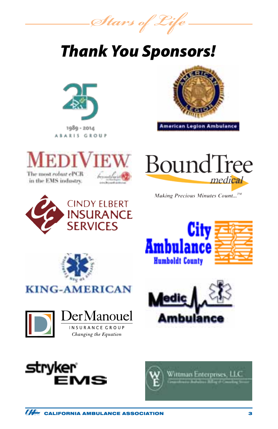*Stars of Life*

## *Thank You Sponsors!*





American Legion Ambulance





Making Precious Minutes Count...<sup>TM</sup>















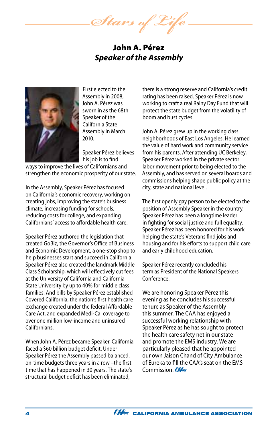*Stars of Life*

John A. Pérez *Speaker of the Assembly*



First elected to the Assembly in 2008, John A. Pérez was sworn in as the 68th Speaker of the California State Assembly in March 2010.

Speaker Pérez believes his job is to find

ways to improve the lives of Californians and strengthen the economic prosperity of our state.

In the Assembly, Speaker Pérez has focused on California's economic recovery, working on creating jobs, improving the state's business climate, increasing funding for schools, reducing costs for college, and expanding Californians' access to affordable health care.

Speaker Pérez authored the legislation that created GoBiz, the Governor's Office of Business and Economic Development, a one-stop shop to help businesses start and succeed in California. Speaker Pérez also created the landmark Middle Class Scholarship, which will effectively cut fees at the University of California and California State University by up to 40% for middle class families. And bills by Speaker Pérez established Covered California, the nation's first health care exchange created under the federal Affordable Care Act, and expanded Medi-Cal coverage to over one million low-income and uninsured Californians.

When John A. Pérez became Speaker, California faced a \$60 billion budget deficit. Under Speaker Pérez the Assembly passed balanced, on-time budgets three years in a row –the first time that has happened in 30 years. The state's structural budget deficit has been eliminated,

there is a strong reserve and California's credit rating has been raised. Speaker Pérez is now working to craft a real Rainy Day Fund that will protect the state budget from the volatility of boom and bust cycles.

John A. Pérez grew up in the working class neighborhoods of East Los Angeles. He learned the value of hard work and community service from his parents. After attending UC Berkeley, Speaker Pérez worked in the private sector labor movement prior to being elected to the Assembly, and has served on several boards and commissions helping shape public policy at the city, state and national level.

The first openly gay person to be elected to the position of Assembly Speaker in the country, Speaker Pérez has been a longtime leader in fighting for social justice and full equality. Speaker Pérez has been honored for his work helping the state's Veterans find jobs and housing and for his efforts to support child care and early childhood education.

Speaker Pérez recently concluded his term as President of the National Speakers Conference.

We are honoring Speaker Pérez this evening as he concludes his successful tenure as Speaker of the Assembly this summer. The CAA has enjoyed a successful working relationship with Speaker Pérez as he has sought to protect the health care safety net in our state and promote the EMS industry. We are particularly pleased that he appointed our own Jaison Chand of City Ambulance of Eureka to fill the CAA's seat on the EMS Commission. CAL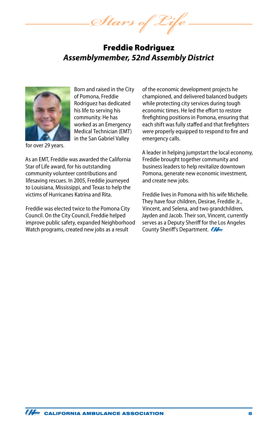*Stars of Life*

### Freddie Rodriguez *Assemblymember, 52nd Assembly District*



Born and raised in the City of Pomona, Freddie Rodriguez has dedicated his life to serving his community. He has worked as an Emergency Medical Technician (EMT) in the San Gabriel Valley

for over 29 years.

As an EMT, Freddie was awarded the California Star of Life award, for his outstanding community volunteer contributions and lifesaving rescues. In 2005, Freddie journeyed to Louisiana, Mississippi, and Texas to help the victims of Hurricanes Katrina and Rita.

Freddie was elected twice to the Pomona City Council. On the City Council, Freddie helped improve public safety, expanded Neighborhood Watch programs, created new jobs as a result

of the economic development projects he championed, and delivered balanced budgets while protecting city services during tough economic times. He led the effort to restore firefighting positions in Pomona, ensuring that each shift was fully staffed and that firefighters were properly equipped to respond to fire and emergency calls.

A leader in helping jumpstart the local economy, Freddie brought together community and business leaders to help revitalize downtown Pomona, generate new economic investment, and create new jobs.

Freddie lives in Pomona with his wife Michelle. They have four children, Desirae, Freddie Jr., Vincent, and Selena, and two grandchildren, Jayden and Jacob. Their son, Vincent, currently serves as a Deputy Sheriff for the Los Angeles County Sheriff's Department.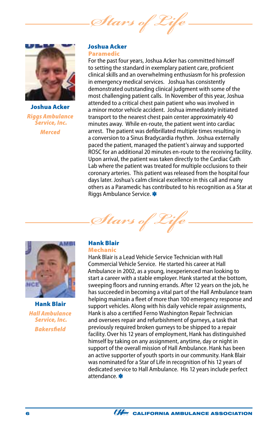*Stars of Life*



Joshua Acker *Riggs Ambulance Service, Inc. Merced*

### Joshua Acker Paramedic

For the past four years, Joshua Acker has committed himself to setting the standard in exemplary patient care, proficient clinical skills and an overwhelming enthusiasm for his profession in emergency medical services. Joshua has consistently demonstrated outstanding clinical judgment with some of the most challenging patient calls. In November of this year, Joshua attended to a critical chest pain patient who was involved in a minor motor vehicle accident. Joshua immediately initiated transport to the nearest chest pain center approximately 40 minutes away. While en-route, the patient went into cardiac arrest. The patient was defibrillated multiple times resulting in a conversion to a Sinus Bradycardia rhythm. Joshua externally paced the patient, managed the patient's airway and supported ROSC for an additional 20 minutes en-route to the receiving facility. Upon arrival, the patient was taken directly to the Cardiac Cath Lab where the patient was treated for multiple occlusions to their coronary arteries. This patient was released from the hospital four days later. Joshua's calm clinical excellence in this call and many others as a Paramedic has contributed to his recognition as a Star at Riggs Ambulance Service.





Hank Blair *Hall Ambulance Service, Inc. Bakersfield*

### Hank Blair

### Mechanic

Hank Blair is a Lead Vehicle Service Technician with Hall Commercial Vehicle Service. He started his career at Hall Ambulance in 2002, as a young, inexperienced man looking to start a career with a stable employer. Hank started at the bottom, sweeping floors and running errands. After 12 years on the job, he has succeeded in becoming a vital part of the Hall Ambulance team helping maintain a fleet of more than 100 emergency response and support vehicles. Along with his daily vehicle repair assignments, Hank is also a certified Ferno Washington Repair Technician and oversees repair and refurbishment of gurneys, a task that previously required broken gurneys to be shipped to a repair facility. Over his 12 years of employment, Hank has distinguished himself by taking on any assignment, anytime, day or night in support of the overall mission of Hall Ambulance. Hank has been an active supporter of youth sports in our community. Hank Blair was nominated for a Star of Life in recognition of his 12 years of dedicated service to Hall Ambulance. His 12 years include perfect attendance.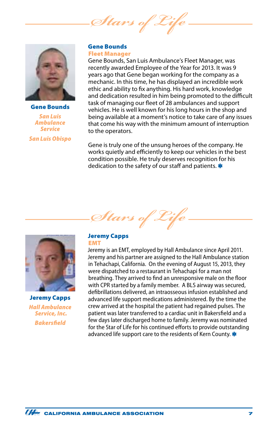*Stars of Life*



Gene Bounds *San Luis Ambulance Service San Luis Obispo*

### Gene Bounds Fleet Manager

Gene Bounds, San Luis Ambulance's Fleet Manager, was recently awarded Employee of the Year for 2013. It was 9 years ago that Gene began working for the company as a mechanic. In this time, he has displayed an incredible work ethic and ability to fix anything. His hard work, knowledge and dedication resulted in him being promoted to the difficult task of managing our fleet of 28 ambulances and support vehicles. He is well known for his long hours in the shop and being available at a moment's notice to take care of any issues that come his way with the minimum amount of interruption to the operators.

Gene is truly one of the unsung heroes of the company. He works quietly and efficiently to keep our vehicles in the best condition possible. He truly deserves recognition for his dedication to the safety of our staff and patients. \*





Jeremy Capps *Hall Ambulance Service, Inc. Bakersfield*

#### Jeremy Capps EMT

Jeremy is an EMT, employed by Hall Ambulance since April 2011. Jeremy and his partner are assigned to the Hall Ambulance station in Tehachapi, California. On the evening of August 15, 2013, they were dispatched to a restaurant in Tehachapi for a man not breathing. They arrived to find an unresponsive male on the floor with CPR started by a family member. A BLS airway was secured, defibrillations delivered, an intraosseous infusion established and advanced life support medications administered. By the time the crew arrived at the hospital the patient had regained pulses. The patient was later transferred to a cardiac unit in Bakersfield and a few days later discharged home to family. Jeremy was nominated for the Star of Life for his continued efforts to provide outstanding advanced life support care to the residents of Kern County.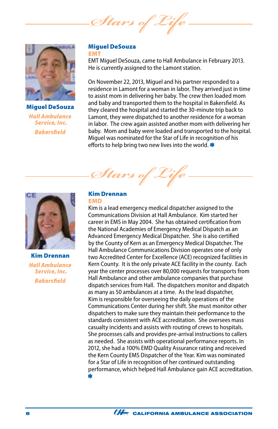*Stars of Life*



Miguel DeSouza *Hall Ambulance Service, Inc. Bakersfield*

### Miguel DeSouza EMT

EMT Miguel DeSouza, came to Hall Ambulance in February 2013. He is currently assigned to the Lamont station.

On November 22, 2013, Miguel and his partner responded to a residence in Lamont for a woman in labor. They arrived just in time to assist mom in delivering her baby. The crew then loaded mom and baby and transported them to the hospital in Bakersfield. As they cleared the hospital and started the 30-minute trip back to Lamont, they were dispatched to another residence for a woman in labor. The crew again assisted another mom with delivering her baby. Mom and baby were loaded and transported to the hospital. Miguel was nominated for the Star of Life in recognition of his efforts to help bring two new lives into the world.



Kim Drennan *Hall Ambulance Service, Inc. Bakersfield*

# *Stars of Life*

### Kim Drennan EMD

Kim is a lead emergency medical dispatcher assigned to the Communications Division at Hall Ambulance. Kim started her career in EMS in May 2004. She has obtained certification from the National Academies of Emergency Medical Dispatch as an Advanced Emergency Medical Dispatcher. She is also certified by the County of Kern as an Emergency Medical Dispatcher. The Hall Ambulance Communications Division operates one of only two Accredited Center for Excellence (ACE) recognized facilities in Kern County. It is the only private ACE facility in the county. Each year the center processes over 80,000 requests for transports from Hall Ambulance and other ambulance companies that purchase dispatch services from Hall. The dispatchers monitor and dispatch as many as 50 ambulances at a time. As the lead dispatcher, Kim is responsible for overseeing the daily operations of the Communications Center during her shift. She must monitor other dispatchers to make sure they maintain their performance to the standards consistent with ACE accreditation. She oversees mass casualty incidents and assists with routing of crews to hospitals. She processes calls and provides pre-arrival instructions to callers as needed. She assists with operational performance reports. In 2012, she had a 100% EMD Quality Assurance rating and received the Kern County EMS Dispatcher of the Year. Kim was nominated for a Star of Life in recognition of her continued outstanding performance, which helped Hall Ambulance gain ACE accreditation. 业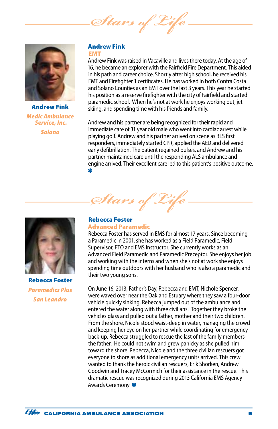Stars of 2



Andrew Fink *Medic Ambulance Service, Inc. Solano*

#### Andrew Fink EMT

Andrew Fink was raised in Vacaville and lives there today. At the age of 16, he became an explorer with the Fairfield Fire Department. This aided in his path and career choice. Shortly after high school, he received his EMT and Firefighter 1 certificates. He has worked in both Contra Costa and Solano Counties as an EMT over the last 3 years. This year he started his position as a reserve firefighter with the city of Fairfield and started paramedic school. When he's not at work he enjoys working out, jet skiing, and spending time with his friends and family.

Andrew and his partner are being recognized for their rapid and immediate care of 31 year old male who went into cardiac arrest while playing golf. Andrew and his partner arrived on scene as BLS first responders, immediately started CPR, applied the AED and delivered early defibrillation. The patient regained pulses, and Andrew and his partner maintained care until the responding ALS ambulance and engine arrived. Their excellent care led to this patient's positive outcome. 业



Rebecca Foster *Paramedics Plus San Leandro*

### Rebecca Foster

### Advanced Paramedic

Stars of 2

Rebecca Foster has served in EMS for almost 17 years. Since becoming a Paramedic in 2001, she has worked as a Field Paramedic, Field Supervisor, FTO and EMS Instructor. She currently works as an Advanced Field Paramedic and Paramedic Preceptor. She enjoys her job and working with the interns and when she's not at work she enjoys spending time outdoors with her husband who is also a paramedic and their two young sons.

On June 16, 2013, Father's Day, Rebecca and EMT, Nichole Spencer, were waved over near the Oakland Estuary where they saw a four-door vehicle quickly sinking. Rebecca jumped out of the ambulance and entered the water along with three civilians. Together they broke the vehicles glass and pulled out a father, mother and their two children. From the shore, Nicole stood waist-deep in water, managing the crowd and keeping her eye on her partner while coordinating for emergency back-up. Rebecca struggled to rescue the last of the family membersthe father. He could not swim and grew panicky as she pulled him toward the shore. Rebecca, Nicole and the three civilian rescuers got everyone to shore as additional emergency units arrived. This crew wanted to thank the heroic civilian rescuers, Erik Shorken, Andrew Goodwin and Tracey McCormich for their assistance in the rescue. This dramatic rescue was recognized during 2013 California EMS Agency Awards Ceremony.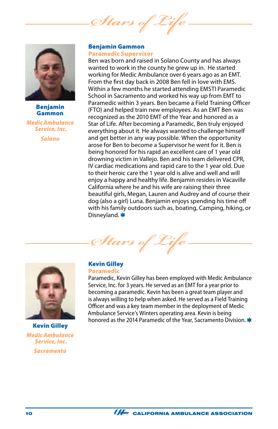*Stars of* 



### Benjamin Gammon

*Medic Ambulance Service, Inc. Solano*

### Benjamin Gammon Paramedic Supervisor

Ben was born and raised in Solano County and has always wanted to work in the county he grew up in. He started working for Medic Ambulance over 6 years ago as an EMT. From the first day back in 2008 Ben fell in love with EMS. Within a few months he started attending EMSTI Paramedic School in Sacramento and worked his way up from EMT to Paramedic within 3 years. Ben became a Field Training Officer (FTO) and helped train new employees. As an EMT Ben was recognized as the 2010 EMT of the Year and honored as a Star of Life. After becoming a Paramedic, Ben truly enjoyed everything about it. He always wanted to challenge himself and get better in any way possible. When the opportunity arose for Ben to become a Supervisor he went for it. Ben is being honored for his rapid an excellent care of 1 year old drowning victim in Vallejo. Ben and his team delivered CPR, IV cardiac medications and rapid care to the 1 year old. Due to their heroic care the 1 year old is alive and well and will enjoy a happy and healthy life. Benjamin resides in Vacaville California where he and his wife are raising their three beautiful girls, Megan, Lauren and Audrey and of course their dog (also a girl) Luna. Benjamin enjoys spending his time off with his family outdoors such as, boating, Camping, hiking, or Disneyland. \*

*Stars of Life*



### Kevin Gilley *Medic Ambulance Service, Inc. Sacramento*

### Kevin Gilley Paramedic

Paramedic, Kevin Gilley has been employed with Medic Ambulance Service, Inc. for 3 years. He served as an EMT for a year prior to becoming a paramedic. Kevin has been a great team player and is always willing to help when asked. He served as a Field Training Officer and was a key team member in the deployment of Medic Ambulance Service's Winters operating area. Kevin is being honored as the 2014 Paramedic of the Year, Sacramento Division. \*

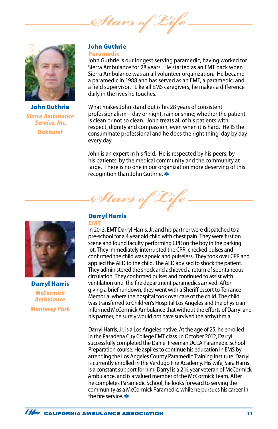*Stars of Life*



John Guthrie *Sierra Ambulance Service, Inc. Oakhurst*

### John Guthrie Paramedic

John Guthrie is our longest serving paramedic, having worked for Sierra Ambulance for 28 years. He started as an EMT back when Sierra Ambulance was an all volunteer organization. He became a paramedic in 1988 and has served as an EMT, a paramedic, and a field supervisor. Like all EMS caregivers, he makes a difference daily in the lives he touches.

What makes John stand out is his 28 years of consistent professionalism - day or night, rain or shine; whether the patient is clean or not so clean. John treats all of his patients with respect, dignity and compassion, even when it is hard. He IS the consummate professional and he does the right thing, day by day every day.

John is an expert in his field. He is respected by his peers, by his patients, by the medical community and the community at large. There is no one in our organization more deserving of this recognition than John Guthrie.



Darryl Harris *McCormick Ambulance Monterey Park*

## Darryl Harris

*Stars of Life*

### EMT

In 2013, EMT Darryl Harris, Jr. and his partner were dispatched to a pre-school for a 4 year old child with chest pain. They were first on scene and found faculty performing CPR on the boy in the parking lot. They immediately interrupted the CPR, checked pulses and confirmed the child was apneic and pulseless. They took over CPR and applied the AED to the child. The AED advised to shock the patient. They administered the shock and achieved a return of spontaneous circulation. They confirmed pulses and continued to assist with ventilation until the fire department paramedics arrived. After giving a brief rundown, they went with a Sheriff escort to Torrance Memorial where the hospital took over care of the child. The child was transferred to Children's Hospital Los Angeles and the physician informed McCormick Ambulance that without the efforts of Darryl and his partner, he surely would not have survived the arrhythmia.

Darryl Harris, Jr. is a Los Angeles native. At the age of 25, he enrolled in the Pasadena City College EMT class. In October 2012, Darryl successfully completed the Daniel Freeman UCLA Paramedic School Preparation course. He aspires to continue his education in EMS by attending the Los Angeles County Paramedic Training Institute. Darryl is currently enrolled in the Verdugo Fire Academy. His wife, Sara Harris is a constant support for him. Darryl is a 2 ½ year veteran of McCormick Ambulance, and is a valued member of the McCormick Team. After he completes Paramedic School, he looks forward to serving the community as a McCormick Paramedic, while he pursues his career in the fire service.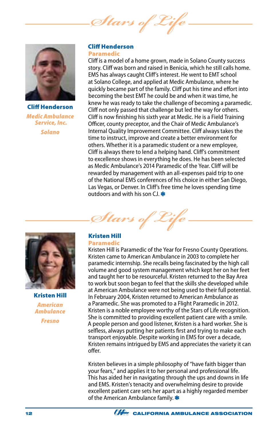Stars of  $\epsilon$ 



Cliff Henderson *Medic Ambulance Service, Inc. Solano*

### Cliff Henderson Paramedic

Cliff is a model of a home grown, made in Solano County success story. Cliff was born and raised in Benicia, which he still calls home. EMS has always caught Cliff's interest. He went to EMT school at Solano College, and applied at Medic Ambulance, where he quickly became part of the family. Cliff put his time and effort into becoming the best EMT he could be and when it was time, he knew he was ready to take the challenge of becoming a paramedic. Cliff not only passed that challenge but led the way for others. Cliff is now finishing his sixth year at Medic. He is a Field Training Officer, county preceptor, and the Chair of Medic Ambulance's Internal Quality Improvement Committee. Cliff always takes the time to instruct, improve and create a better environment for others. Whether it is a paramedic student or a new employee, Cliff is always there to lend a helping hand. Cliff's commitment to excellence shows in everything he does. He has been selected as Medic Ambulance's 2014 Paramedic of the Year. Cliff will be rewarded by management with an all-expenses paid trip to one of the National EMS conferences of his choice in either San Diego, Las Vegas, or Denver. In Cliff's free time he loves spending time outdoors and with his son CJ.  $*$ 

*Stars of Life*



Kristen Hill *American Ambulance Fresno*

#### Kristen Hill Paramedic

Kristen Hill is Paramedic of the Year for Fresno County Operations. Kristen came to American Ambulance in 2003 to complete her paramedic internship. She recalls being fascinated by the high call volume and good system management which kept her on her feet and taught her to be resourceful. Kristen returned to the Bay Area to work but soon began to feel that the skills she developed while at American Ambulance were not being used to their full potential. In February 2004, Kristen returned to American Ambulance as a Paramedic. She was promoted to a Flight Paramedic in 2012. Kristen is a noble employee worthy of the Stars of Life recognition. She is committed to providing excellent patient care with a smile. A people person and good listener, Kristen is a hard worker. She is selfless, always putting her patients first and trying to make each transport enjoyable. Despite working in EMS for over a decade, Kristen remains intrigued by EMS and appreciates the variety it can offer.

Kristen believes in a simple philosophy of "have faith bigger than your fears," and applies it to her personal and professional life. This has aided her in navigating through the ups and downs in life and EMS. Kristen's tenacity and overwhelming desire to provide excellent patient care sets her apart as a highly regarded member of the American Ambulance family.

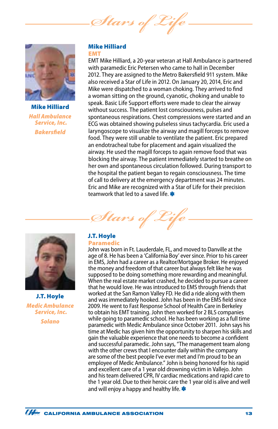Stars of



Mike Hilliard *Hall Ambulance Service, Inc. Bakersfield*

### Mike Hilliard EMT

EMT Mike Hilliard, a 20-year veteran at Hall Ambulance is partnered with paramedic Eric Petersen who came to hall in December 2012. They are assigned to the Metro Bakersfield 911 system. Mike also received a Star of Life in 2012. On January 20, 2014, Eric and Mike were dispatched to a woman choking. They arrived to find a woman sitting on the ground, cyanotic, choking and unable to speak. Basic Life Support efforts were made to clear the airway without success. The patient lost consciousness, pulses and spontaneous respirations. Chest compressions were started and an ECG was obtained showing pulseless sinus tachycardia. Eric used a laryngoscope to visualize the airway and magill forceps to remove food. They were still unable to ventilate the patient. Eric prepared an endotracheal tube for placement and again visualized the airway. He used the magill forceps to again remove food that was blocking the airway. The patient immediately started to breathe on her own and spontaneous circulation followed. During transport to the hospital the patient began to regain consciousness. The time of call to delivery at the emergency department was 24 minutes. Eric and Mike are recognized with a Star of Life for their precision teamwork that led to a saved life.

Stars of 2



J.T. Hoyle *Medic Ambulance Service, Inc. Solano*

### J.T. Hoyle Paramedic

John was born in Ft. Lauderdale, FL, and moved to Danville at the age of 8. He has been a 'California Boy' ever since. Prior to his career in EMS, John had a career as a Realtor/Mortgage Broker. He enjoyed the money and freedom of that career but always felt like he was supposed to be doing something more rewarding and meaningful. When the real estate market crashed, he decided to pursue a career that he would love. He was introduced to EMS through friends that worked at the San Ramon Valley FD. He did a ride along with them and was immediately hooked. John has been in the EMS field since 2009. He went to Fast Response School of Health Care in Berkeley to obtain his EMT training. John then worked for 2 BLS companies while going to paramedic school. He has been working as a full time paramedic with Medic Ambulance since October 2011. John says his time at Medic has given him the opportunity to sharpen his skills and gain the valuable experience that one needs to become a confident and successful paramedic. John says, "The management team along with the other crews that I encounter daily within the company are some of the best people I've ever met and I'm proud to be an employee of Medic Ambulance." John is being honored for his rapid and excellent care of a 1 year old drowning victim in Vallejo. John and his team delivered CPR, IV cardiac medications and rapid care to the 1 year old. Due to their heroic care the 1 year old is alive and well and will enjoy a happy and healthy life.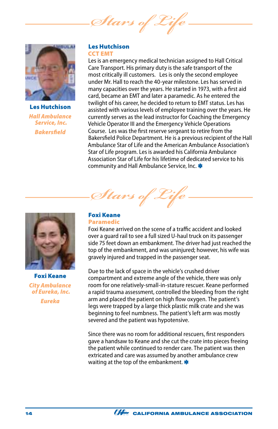*Stars of Life*



Les Hutchison *Hall Ambulance Service, Inc. Bakersfield*

### Les Hutchison CCT EMT

Les is an emergency medical technician assigned to Hall Critical Care Transport. His primary duty is the safe transport of the most critically ill customers. Les is only the second employee under Mr. Hall to reach the 40-year milestone. Les has served in many capacities over the years. He started in 1973, with a first aid card, became an EMT and later a paramedic. As he entered the twilight of his career, he decided to return to EMT status. Les has assisted with various levels of employee training over the years. He currently serves as the lead instructor for Coaching the Emergency Vehicle Operator III and the Emergency Vehicle Operations Course. Les was the first reserve sergeant to retire from the Bakersfield Police Department. He is a previous recipient of the Hall Ambulance Star of Life and the American Ambulance Association's Star of Life program. Les is awarded his California Ambulance Association Star of Life for his lifetime of dedicated service to his community and Hall Ambulance Service, Inc. \*



Foxi Keane *City Ambulance of Eureka, Inc.*

*Eureka*

### Foxi Keane Paramedic

Stars of L

Foxi Keane arrived on the scene of a traffic accident and looked over a guard rail to see a full sized U-haul truck on its passenger side 75 feet down an embankment. The driver had just reached the top of the embankment, and was uninjured; however, his wife was gravely injured and trapped in the passenger seat.

Due to the lack of space in the vehicle's crushed driver compartment and extreme angle of the vehicle, there was only room for one relatively-small-in-stature rescuer. Keane performed a rapid trauma assessment, controlled the bleeding from the right arm and placed the patient on high flow oxygen. The patient's legs were trapped by a large thick plastic milk crate and she was beginning to feel numbness. The patient's left arm was mostly severed and the patient was hypotensive.

Since there was no room for additional rescuers, first responders gave a handsaw to Keane and she cut the crate into pieces freeing the patient while continued to render care. The patient was then extricated and care was assumed by another ambulance crew waiting at the top of the embankment.  $\ast$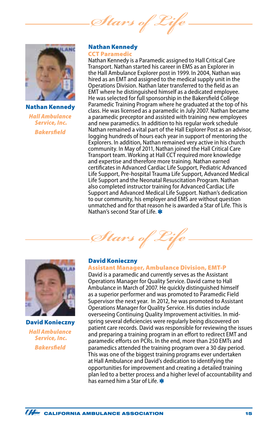*Stars* of



Nathan Kennedy *Hall Ambulance Service, Inc. Bakersfield*

### Nathan Kennedy CCT Paramedic

Nathan Kennedy is a Paramedic assigned to Hall Critical Care Transport. Nathan started his career in EMS as an Explorer in the Hall Ambulance Explorer post in 1999. In 2004, Nathan was hired as an EMT and assigned to the medical supply unit in the Operations Division. Nathan later transferred to the field as an EMT where he distinguished himself as a dedicated employee. He was selected for full sponsorship in the Bakersfield College Paramedic Training Program where he graduated at the top of his class. He was licensed as a paramedic in July 2007. Nathan became a paramedic preceptor and assisted with training new employees and new paramedics. In addition to his regular work schedule Nathan remained a vital part of the Hall Explorer Post as an advisor, logging hundreds of hours each year in support of mentoring the Explorers. In addition, Nathan remained very active in his church community. In May of 2011, Nathan joined the Hall Critical Care Transport team. Working at Hall CCT required more knowledge and expertise and therefore more training. Nathan earned certificates in Advanced Cardiac Life Support, Pediatric Advanced Life Support, Pre-hospital Trauma Life Support, Advanced Medical Life Support and the Neonatal Resuscitation Program. Nathan also completed instructor training for Advanced Cardiac Life Support and Advanced Medical Life Support. Nathan's dedication to our community, his employer and EMS are without question unmatched and for that reason he is awarded a Star of Life. This is Nathan's second Star of Life.



David Konieczny *Hall Ambulance Service, Inc. Bakersfield*

### David Konieczny

*Stars of Life*

### Assistant Manager, Ambulance Division, EMT-P

David is a paramedic and currently serves as the Assistant Operations Manager for Quality Service. David came to Hall Ambulance in March of 2007. He quickly distinguished himself as a superior performer and was promoted to Paramedic Field Supervisor the next year. In 2012, he was promoted to Assistant Operations Manager for Quality Service. His duties include overseeing Continuing Quality Improvement activities. In midspring several deficiencies were regularly being discovered on patient care records. David was responsible for reviewing the issues and preparing a training program in an effort to redirect EMT and paramedic efforts on PCRs. In the end, more than 250 EMTs and paramedics attended the training program over a 30 day period. This was one of the biggest training programs ever undertaken at Hall Ambulance and David's dedication to identifying the opportunities for improvement and creating a detailed training plan led to a better process and a higher level of accountability and has earned him a Star of Life.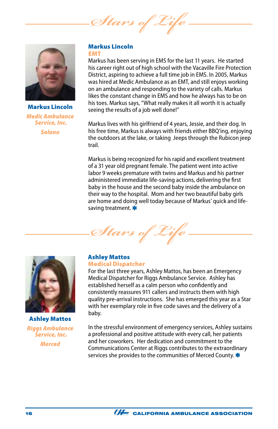Stars of  $e$ 



Markus Lincoln *Medic Ambulance Service, Inc. Solano*

### Markus Lincoln EMT

Markus has been serving in EMS for the last 11 years. He started his career right out of high school with the Vacaville Fire Protection District, aspiring to achieve a full time job in EMS. In 2005, Markus was hired at Medic Ambulance as an EMT, and still enjoys working on an ambulance and responding to the variety of calls. Markus likes the constant change in EMS and how he always has to be on his toes. Markus says, "What really makes it all worth it is actually seeing the results of a job well done!"

Markus lives with his girlfriend of 4 years, Jessie, and their dog. In his free time, Markus is always with friends either BBQ'ing, enjoying the outdoors at the lake, or taking Jeeps through the Rubicon jeep trail.

Markus is being recognized for his rapid and excellent treatment of a 31 year old pregnant female. The patient went into active labor 9 weeks premature with twins and Markus and his partner administered immediate life-saving actions, delivering the first baby in the house and the second baby inside the ambulance on their way to the hospital. Mom and her two beautiful baby girls are home and doing well today because of Markus' quick and lifesaving treatment.



Ashley Mattos *Riggs Ambulance Service, Inc. Merced*

### Ashley Mattos Medical Dispatcher

*Stars of Life*

For the last three years, Ashley Mattos, has been an Emergency Medical Dispatcher for Riggs Ambulance Service. Ashley has established herself as a calm person who confidently and consistently reassures 911 callers and instructs them with high quality pre-arrival instructions. She has emerged this year as a Star with her exemplary role in five code saves and the delivery of a baby.

In the stressful environment of emergency services, Ashley sustains a professional and positive attitude with every call, her patients and her coworkers. Her dedication and commitment to the Communications Center at Riggs contributes to the extraordinary services she provides to the communities of Merced County.

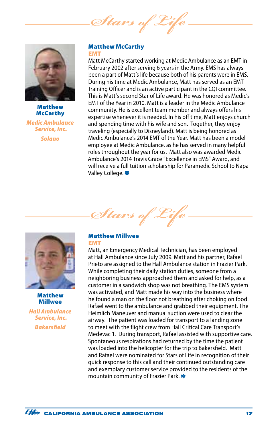*Stars of Life*



### Matthew **McCarthy**

*Medic Ambulance Service, Inc. Solano*

### Matthew McCarthy EMT

Matt McCarthy started working at Medic Ambulance as an EMT in February 2002 after serving 6 years in the Army. EMS has always been a part of Matt's life because both of his parents were in EMS. During his time at Medic Ambulance, Matt has served as an EMT Training Officer and is an active participant in the CQI committee. This is Matt's second Star of Life award. He was honored as Medic's EMT of the Year in 2010. Matt is a leader in the Medic Ambulance community. He is excellent team member and always offers his expertise whenever it is needed. In his off time, Matt enjoys church and spending time with his wife and son. Together, they enjoy traveling (especially to Disneyland). Matt is being honored as Medic Ambulance's 2014 EMT of the Year. Matt has been a model employee at Medic Ambulance, as he has served in many helpful roles throughout the year for us. Matt also was awarded Medic Ambulance's 2014 Travis Grace "Excellence in EMS" Award, and will receive a full tuition scholarship for Paramedic School to Napa Valley College.



Matthew Millwee

*Hall Ambulance Service, Inc. Bakersfield*

### Matthew Millwee EMT

*Stars of Life*

Matt, an Emergency Medical Technician, has been employed at Hall Ambulance since July 2009. Matt and his partner, Rafael Prieto are assigned to the Hall Ambulance station in Frazier Park. While completing their daily station duties, someone from a neighboring business approached them and asked for help, as a customer in a sandwich shop was not breathing. The EMS system was activated, and Matt made his way into the business where he found a man on the floor not breathing after choking on food. Rafael went to the ambulance and grabbed their equipment. The Heimlich Maneuver and manual suction were used to clear the airway. The patient was loaded for transport to a landing zone to meet with the flight crew from Hall Critical Care Transport's Medevac 1. During transport, Rafael assisted with supportive care. Spontaneous respirations had returned by the time the patient was loaded into the helicopter for the trip to Bakersfield. Matt and Rafael were nominated for Stars of Life in recognition of their quick response to this call and their continued outstanding care and exemplary customer service provided to the residents of the mountain community of Frazier Park.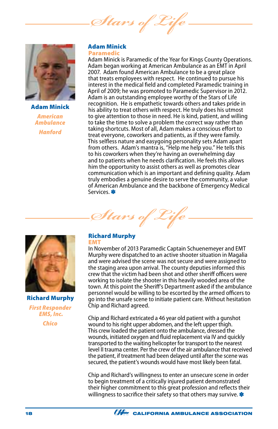Stars of



Adam Minick *American Ambulance Hanford*

#### Adam Minick Paramedic

Adam Minick is Paramedic of the Year for Kings County Operations. Adam began working at American Ambulance as an EMT in April 2007. Adam found American Ambulance to be a great place that treats employees with respect. He continued to pursue his interest in the medical field and completed Paramedic training in April of 2009; he was promoted to Paramedic Supervisor in 2012. Adam is an outstanding employee worthy of the Stars of Life recognition. He is empathetic towards others and takes pride in his ability to treat others with respect. He truly does his utmost to give attention to those in need. He is kind, patient, and willing to take the time to solve a problem the correct way rather than taking shortcuts. Most of all, Adam makes a conscious effort to treat everyone, coworkers and patients, as if they were family. This selfless nature and easygoing personality sets Adam apart from others. Adam's mantra is, "Help me help you." He tells this to his coworkers when they're having an overwhelming day and to patients when he needs clarification. He feels this allows him the opportunity to assist others as well as promotes clear communication which is an important and defining quality. Adam truly embodies a genuine desire to serve the community, a value of American Ambulance and the backbone of Emergency Medical Services.





Richard Murphy *First Responder EMS, Inc. Chico*

### Richard Murphy EMT

In November of 2013 Paramedic Captain Schuenemeyer and EMT Murphy were dispatched to an active shooter situation in Magalia and were advised the scene was not secure and were assigned to the staging area upon arrival. The county deputies informed this crew that the victim had been shot and other sheriff officers were working to isolate the shooter in this heavily wooded area of the town. At this point the Sheriff's Department asked if the ambulance personnel would be willing to be escorted by the armed officers to go into the unsafe scene to initiate patient care. Without hesitation Chip and Richard agreed.

Chip and Richard extricated a 46 year old patient with a gunshot wound to his right upper abdomen, and the left upper thigh. This crew loaded the patient onto the ambulance, dressed the wounds, initiated oxygen and fluid replacement via IV and quickly transported to the waiting helicopter for transport to the nearest level II trauma center. Per the crew of the air ambulance that received the patient, if treatment had been delayed until after the scene was secured, the patient's wounds would have most likely been fatal.

Chip and Richard's willingness to enter an unsecure scene in order to begin treatment of a critically injured patient demonstrated their higher commitment to this great profession and reflects their willingness to sacrifice their safety so that others may survive.  $\ast$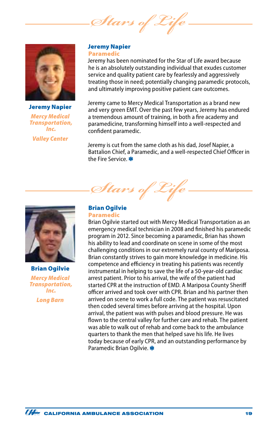Stars of



Jeremy Napier *Mercy Medical Transportation, Inc. Valley Center*

### Jeremy Napier Paramedic

Jeremy has been nominated for the Star of Life award because he is an absolutely outstanding individual that exudes customer service and quality patient care by fearlessly and aggressively treating those in need; potentially changing paramedic protocols, and ultimately improving positive patient care outcomes.

Jeremy came to Mercy Medical Transportation as a brand new and very green EMT. Over the past few years, Jeremy has endured a tremendous amount of training, in both a fire academy and paramedicine, transforming himself into a well-respected and confident paramedic.

Jeremy is cut from the same cloth as his dad, Josef Napier, a Battalion Chief, a Paramedic, and a well-respected Chief Officer in the Fire Service.



Brian Ogilvie *Mercy Medical Transportation, Inc. Long Barn*

### Brian Ogilvie Paramedic

Stars of

Brian Ogilvie started out with Mercy Medical Transportation as an emergency medical technician in 2008 and finished his paramedic program in 2012. Since becoming a paramedic, Brian has shown his ability to lead and coordinate on scene in some of the most challenging conditions in our extremely rural county of Mariposa. Brian constantly strives to gain more knowledge in medicine. His competence and efficiency in treating his patients was recently instrumental in helping to save the life of a 50-year-old cardiac arrest patient. Prior to his arrival, the wife of the patient had started CPR at the instruction of EMD. A Mariposa County Sheriff officer arrived and took over with CPR. Brian and his partner then arrived on scene to work a full code. The patient was resuscitated then coded several times before arriving at the hospital. Upon arrival, the patient was with pulses and blood pressure. He was flown to the central valley for further care and rehab. The patient was able to walk out of rehab and come back to the ambulance quarters to thank the men that helped save his life. He lives today because of early CPR, and an outstanding performance by Paramedic Brian Ogilvie.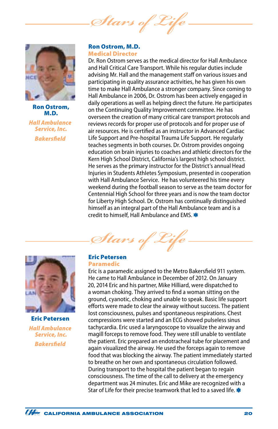*Stars of Life*



Ron Ostrom, M.D. *Hall Ambulance Service, Inc. Bakersfield*

### Ron Ostrom, M.D. Medical Director

Dr. Ron Ostrom serves as the medical director for Hall Ambulance and Hall Critical Care Transport. While his regular duties include advising Mr. Hall and the management staff on various issues and participating in quality assurance activities, he has given his own time to make Hall Ambulance a stronger company. Since coming to Hall Ambulance in 2006, Dr. Ostrom has been actively engaged in daily operations as well as helping direct the future. He participates on the Continuing Quality Improvement committee. He has overseen the creation of many critical care transport protocols and reviews records for proper use of protocols and for proper use of air resources. He is certified as an instructor in Advanced Cardiac Life Support and Pre-hospital Trauma Life Support. He regularly teaches segments in both courses. Dr. Ostrom provides ongoing education on brain injuries to coaches and athletic directors for the Kern High School District, California's largest high school district. He serves as the primary instructor for the District's annual Head Injuries in Students Athletes Symposium, presented in cooperation with Hall Ambulance Service. He has volunteered his time every weekend during the football season to serve as the team doctor for Centennial High School for three years and is now the team doctor for Liberty High School. Dr. Ostrom has continually distinguished himself as an integral part of the Hall Ambulance team and is a credit to himself. Hall Ambulance and EMS. \*



Eric Petersen *Hall Ambulance Service, Inc. Bakersfield*

### Eric Petersen Paramedic

*Stars of Life*

Eric is a paramedic assigned to the Metro Bakersfield 911 system. He came to Hall Ambulance in December of 2012. On January 20, 2014 Eric and his partner, Mike Hilliard, were dispatched to a woman choking. They arrived to find a woman sitting on the ground, cyanotic, choking and unable to speak. Basic life support efforts were made to clear the airway without success. The patient lost consciousness, pulses and spontaneous respirations. Chest compressions were started and an ECG showed pulseless sinus tachycardia. Eric used a laryngoscope to visualize the airway and magill forceps to remove food. They were still unable to ventilate the patient. Eric prepared an endotracheal tube for placement and again visualized the airway. He used the forceps again to remove food that was blocking the airway. The patient immediately started to breathe on her own and spontaneous circulation followed. During transport to the hospital the patient began to regain consciousness. The time of the call to delivery at the emergency department was 24 minutes. Eric and Mike are recognized with a Star of Life for their precise teamwork that led to a saved life.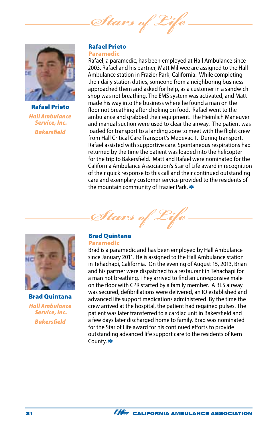*Stars of Life*



Rafael Prieto *Hall Ambulance Service, Inc. Bakersfield*

### Rafael Prieto Paramedic

Rafael, a paramedic, has been employed at Hall Ambulance since 2003. Rafael and his partner, Matt Millwee are assigned to the Hall Ambulance station in Frazier Park, California. While completing their daily station duties, someone from a neighboring business approached them and asked for help, as a customer in a sandwich shop was not breathing. The EMS system was activated, and Matt made his way into the business where he found a man on the floor not breathing after choking on food. Rafael went to the ambulance and grabbed their equipment. The Heimlich Maneuver and manual suction were used to clear the airway. The patient was loaded for transport to a landing zone to meet with the flight crew from Hall Critical Care Transport's Medevac 1. During transport, Rafael assisted with supportive care. Spontaneous respirations had returned by the time the patient was loaded into the helicopter for the trip to Bakersfield. Matt and Rafael were nominated for the California Ambulance Association's Star of Life award in recognition of their quick response to this call and their continued outstanding care and exemplary customer service provided to the residents of the mountain community of Frazier Park. \*



Brad Quintana *Hall Ambulance Service, Inc. Bakersfield*

### Brad Quintana Paramedic

*Stars* 

Brad is a paramedic and has been employed by Hall Ambulance since January 2011. He is assigned to the Hall Ambulance station in Tehachapi, California. On the evening of August 15, 2013, Brian and his partner were dispatched to a restaurant in Tehachapi for a man not breathing. They arrived to find an unresponsive male on the floor with CPR started by a family member. A BLS airway was secured, defibrillations were delivered, an IO established and advanced life support medications administered. By the time the crew arrived at the hospital, the patient had regained pulses. The patient was later transferred to a cardiac unit in Bakersfield and a few days later discharged home to family. Brad was nominated for the Star of Life award for his continued efforts to provide outstanding advanced life support care to the residents of Kern County.

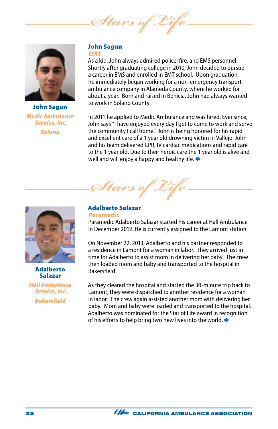*Stars of Life*



John Sagun *Medic Ambulance Service, Inc. Solano*

### John Sagun EMT

As a kid, John always admired police, fire, and EMS personnel. Shortly after graduating college in 2010, John decided to pursue a career in EMS and enrolled in EMT school. Upon graduation, he immediately began working for a non-emergency transport ambulance company in Alameda County, where he worked for about a year. Born and raised in Benicia, John had always wanted to work in Solano County.

In 2011 he applied to Medic Ambulance and was hired. Ever since, John says "I have enjoyed every day I get to come to work and serve the community I call home." John is being honored for his rapid and excellent care of a 1 year old drowning victim in Vallejo. John and his team delivered CPR, IV cardiac medications and rapid care to the 1 year old. Due to their heroic care the 1 year old is alive and well and will enjoy a happy and healthy life.  $*$ 



Adalberto Salazar

*Hall Ambulance Service, Inc. Bakersfield*

Adalberto Salazar Paramedic

*Stars of Life*

Paramedic Adalberto Salazar started his career at Hall Ambulance in December 2012. He is currently assigned to the Lamont station.

On November 22, 2013, Adalberto and his partner responded to a residence in Lamont for a woman in labor. They arrived just in time for Adalberto to assist mom in delivering her baby. The crew then loaded mom and baby and transported to the hospital in Bakersfield.

As they cleared the hospital and started the 30-minute trip back to Lamont, they were dispatched to another residence for a woman in labor. The crew again assisted another mom with delivering her baby. Mom and baby were loaded and transported to the hospital. Adalberto was nominated for the Star of Life award in recognition of his efforts to help bring two new lives into the world.  $*$ 

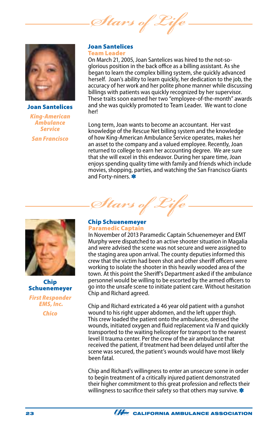*Stars of* 



### Joan Santelices

*King-American Ambulance Service San Francisco*

#### Joan Santelices Team Leader

On March 21, 2005, Joan Santelices was hired to the not-soglorious position in the back office as a billing assistant. As she began to learn the complex billing system, she quickly advanced herself. Joan's ability to learn quickly, her dedication to the job, the accuracy of her work and her polite phone manner while discussing billings with patients was quickly recognized by her supervisor. These traits soon earned her two "employee-of-the-month" awards and she was quickly promoted to Team Leader. We want to clone her!

Long term, Joan wants to become an accountant. Her vast knowledge of the Rescue Net billing system and the knowledge of how King-American Ambulance Service operates, makes her an asset to the company and a valued employee. Recently, Joan returned to college to earn her accounting degree. We are sure that she will excel in this endeavor. During her spare time, Joan enjoys spending quality time with family and friends which include movies, shopping, parties, and watching the San Francisco Giants and Forty-niners.

Chip Schuenemeyer

*First Responder EMS, Inc.*

*Chico*

### Chip Schuenemeyer Paramedic Captain

*Stars of Life*

In November of 2013 Paramedic Captain Schuenemeyer and EMT Murphy were dispatched to an active shooter situation in Magalia and were advised the scene was not secure and were assigned to the staging area upon arrival. The county deputies informed this crew that the victim had been shot and other sheriff officers were working to isolate the shooter in this heavily wooded area of the town. At this point the Sheriff's Department asked if the ambulance personnel would be willing to be escorted by the armed officers to go into the unsafe scene to initiate patient care. Without hesitation Chip and Richard agreed.

Chip and Richard extricated a 46 year old patient with a gunshot wound to his right upper abdomen, and the left upper thigh. This crew loaded the patient onto the ambulance, dressed the wounds, initiated oxygen and fluid replacement via IV and quickly transported to the waiting helicopter for transport to the nearest level II trauma center. Per the crew of the air ambulance that received the patient, if treatment had been delayed until after the scene was secured, the patient's wounds would have most likely been fatal.

Chip and Richard's willingness to enter an unsecure scene in order to begin treatment of a critically injured patient demonstrated their higher commitment to this great profession and reflects their willingness to sacrifice their safety so that others may survive. \*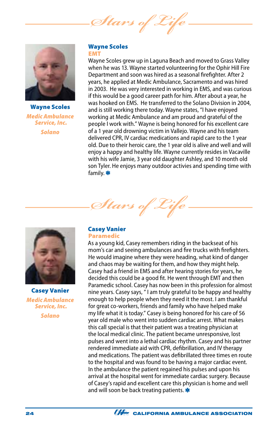Stars of



Wayne Scoles *Medic Ambulance Service, Inc. Solano*

### Wayne Scoles EMT

Wayne Scoles grew up in Laguna Beach and moved to Grass Valley when he was 13. Wayne started volunteering for the Ophir Hill Fire Department and soon was hired as a seasonal firefighter. After 2 years, he applied at Medic Ambulance, Sacramento and was hired in 2003. He was very interested in working in EMS, and was curious if this would be a good career path for him. After about a year, he was hooked on EMS. He transferred to the Solano Division in 2004, and is still working there today. Wayne states, "I have enjoyed working at Medic Ambulance and am proud and grateful of the people I work with." Wayne is being honored for his excellent care of a 1 year old drowning victim in Vallejo. Wayne and his team delivered CPR, IV cardiac medications and rapid care to the 1 year old. Due to their heroic care, the 1 year old is alive and well and will enjoy a happy and healthy life. Wayne currently resides in Vacaville with his wife Jamie, 3 year old daughter Ashley, and 10 month old son Tyler. He enjoys many outdoor activies and spending time with family. \*



Casey Vanier *Medic Ambulance Service, Inc. Solano*

### Casey Vanier Paramedic

Stars of 2

As a young kid, Casey remembers riding in the backseat of his mom's car and seeing ambulances and fire trucks with firefighters. He would imagine where they were heading, what kind of danger and chaos may be waiting for them, and how they might help. Casey had a friend in EMS and after hearing stories for years, he decided this could be a good fit. He went through EMT and then Paramedic school. Casey has now been in this profession for almost nine years. Casey says, " I am truly grateful to be happy and healthy enough to help people when they need it the most. I am thankful for great co-workers, friends and family who have helped make my life what it is today." Casey is being honored for his care of 56 year old male who went into sudden cardiac arrest. What makes this call special is that their patient was a treating physician at the local medical clinic. The patient became unresponsive, lost pulses and went into a lethal cardiac rhythm. Casey and his partner rendered immediate aid with CPR, defibrillation, and IV therapy and medications. The patient was defibrillated three times en route to the hospital and was found to be having a major cardiac event. In the ambulance the patient regained his pulses and upon his arrival at the hospital went for immediate cardiac surgery. Because of Casey's rapid and excellent care this physician is home and well and will soon be back treating patients.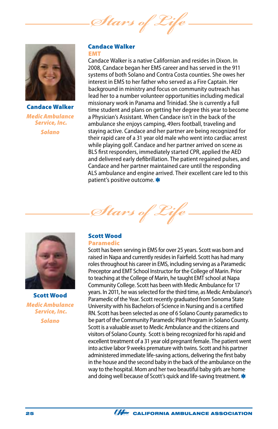Stars of



Candace Walker *Medic Ambulance Service, Inc. Solano*

### Candace Walker EMT

Candace Walker is a native Californian and resides in Dixon. In 2008, Candace began her EMS career and has served in the 911 systems of both Solano and Contra Costa counties. She owes her interest in EMS to her father who served as a Fire Captain. Her background in ministry and focus on community outreach has lead her to a number volunteer opportunities including medical missionary work in Panama and Trinidad. She is currently a full time student and plans on getting her degree this year to become a Physician's Assistant. When Candace isn't in the back of the ambulance she enjoys camping, 49ers football, traveling and staying active. Candace and her partner are being recognized for their rapid care of a 31 year old male who went into cardiac arrest while playing golf. Candace and her partner arrived on scene as BLS first responders, immediately started CPR, applied the AED and delivered early defibrillation. The patient regained pulses, and Candace and her partner maintained care until the responding ALS ambulance and engine arrived. Their excellent care led to this patient's positive outcome.



Scott has been serving in EMS for over 25 years. Scott was born and raised in Napa and currently resides in Fairfield. Scott has had many roles throughout his career in EMS, including serving as a Paramedic Preceptor and EMT School Instructor for the College of Marin. Prior to teaching at the College of Marin, he taught EMT school at Napa Community College. Scott has been with Medic Ambulance for 17 years. In 2011, he was selected for the third time, as Medic Ambulance's Paramedic of the Year. Scott recently graduated from Sonoma State University with his Bachelors of Science in Nursing and is a certified RN. Scott has been selected as one of 6 Solano County paramedics to be part of the Community Paramedic Pilot Program in Solano County. Scott is a valuable asset to Medic Ambulance and the citizens and visitors of Solano County. Scott is being recognized for his rapid and excellent treatment of a 31 year old pregnant female. The patient went into active labor 9 weeks premature with twins. Scott and his partner administered immediate life-saving actions, delivering the first baby in the house and the second baby in the back of the ambulance on the way to the hospital. Mom and her two beautiful baby girls are home and doing well because of Scott's quick and life-saving treatment.



Scott Wood *Medic Ambulance Service, Inc. Solano*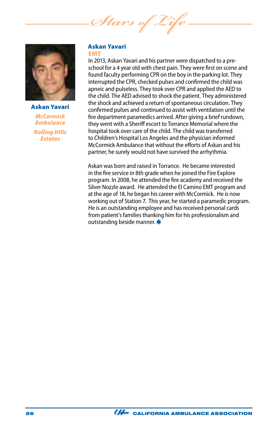*Stars of Life*



Askan Yavari *McCormick Ambulance Rolling Hills Estates*

### Askan Yavari EMT

In 2013, Askan Yavari and his partner were dispatched to a preschool for a 4 year old with chest pain. They were first on scene and found faculty performing CPR on the boy in the parking lot. They interrupted the CPR, checked pulses and confirmed the child was apneic and pulseless. They took over CPR and applied the AED to the child. The AED advised to shock the patient. They administered the shock and achieved a return of spontaneous circulation. They confirmed pulses and continued to assist with ventilation until the fire department paramedics arrived. After giving a brief rundown, they went with a Sheriff escort to Torrance Memorial where the hospital took over care of the child. The child was transferred to Children's Hospital Los Angeles and the physician informed McCormick Ambulance that without the efforts of Askan and his partner, he surely would not have survived the arrhythmia.

Askan was born and raised in Torrance. He became interested in the fire service in 8th grade when he joined the Fire Explore program. In 2008, he attended the fire academy and received the Silver Nozzle award. He attended the El Camino EMT program and at the age of 18, he began his career with McCormick. He is now working out of Station 7. This year, he started a paramedic program. He is an outstanding employee and has received personal cards from patient's families thanking him for his professionalism and outstanding beside manner. **\***